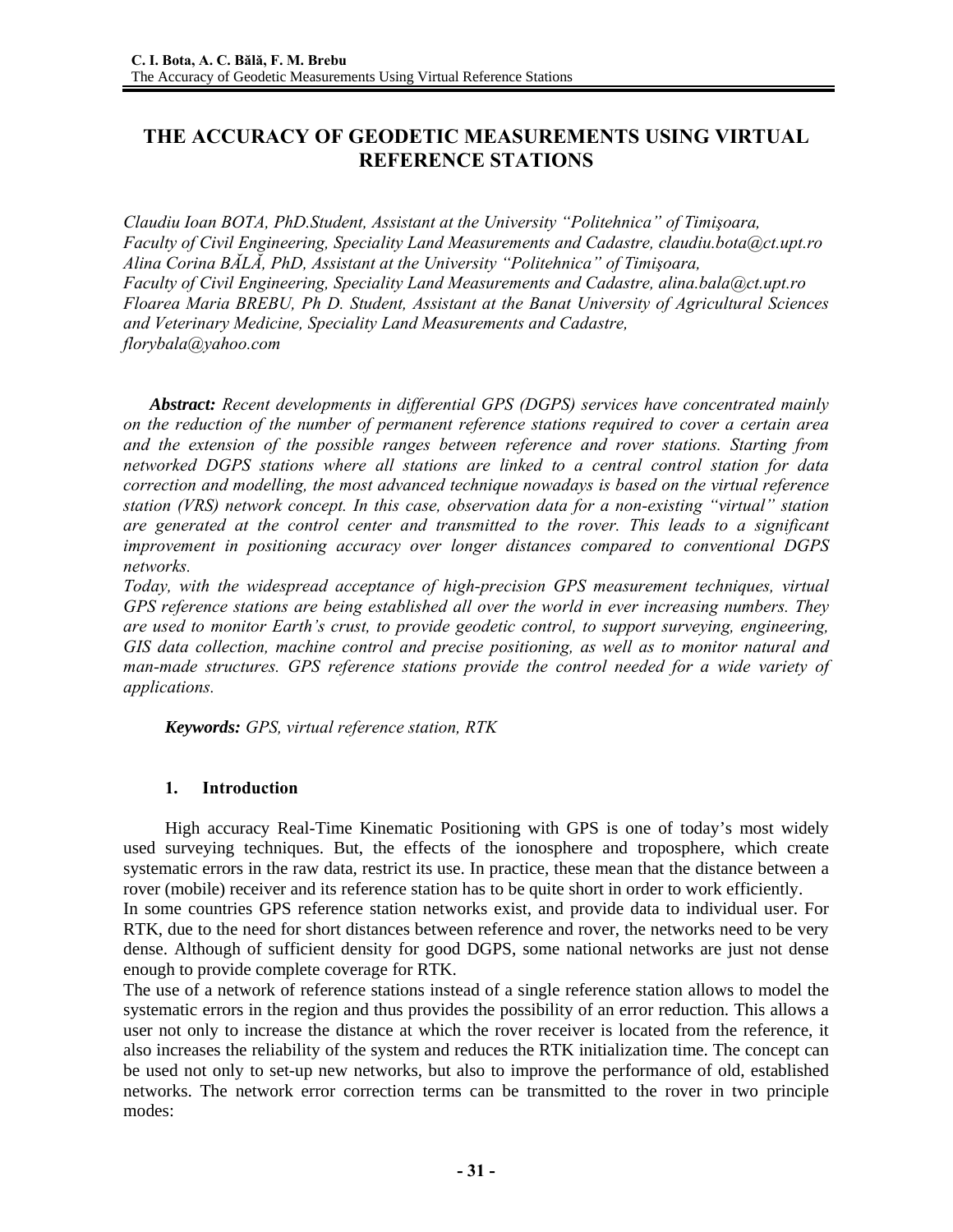# **THE ACCURACY OF GEODETIC MEASUREMENTS USING VIRTUAL REFERENCE STATIONS**

*Claudiu Ioan BOTA, PhD.Student, Assistant at the University "Politehnica" of Timişoara, Faculty of Civil Engineering, Speciality Land Measurements and Cadastre, claudiu.bota@ct.upt.ro Alina Corina BĂLĂ, PhD, Assistant at the University "Politehnica" of Timişoara, Faculty of Civil Engineering, Speciality Land Measurements and Cadastre, alina.bala@ct.upt.ro Floarea Maria BREBU, Ph D. Student, Assistant at the Banat University of Agricultural Sciences and Veterinary Medicine, Speciality Land Measurements and Cadastre, florybala@yahoo.com* 

*Abstract: Recent developments in differential GPS (DGPS) services have concentrated mainly on the reduction of the number of permanent reference stations required to cover a certain area and the extension of the possible ranges between reference and rover stations. Starting from networked DGPS stations where all stations are linked to a central control station for data correction and modelling, the most advanced technique nowadays is based on the virtual reference station (VRS) network concept. In this case, observation data for a non-existing "virtual" station are generated at the control center and transmitted to the rover. This leads to a significant improvement in positioning accuracy over longer distances compared to conventional DGPS networks.*

*Today, with the widespread acceptance of high-precision GPS measurement techniques, virtual GPS reference stations are being established all over the world in ever increasing numbers. They are used to monitor Earth's crust, to provide geodetic control, to support surveying, engineering, GIS data collection, machine control and precise positioning, as well as to monitor natural and man-made structures. GPS reference stations provide the control needed for a wide variety of applications.* 

*Keywords: GPS, virtual reference station, RTK* 

## **1. Introduction**

High accuracy Real-Time Kinematic Positioning with GPS is one of today's most widely used surveying techniques. But, the effects of the ionosphere and troposphere, which create systematic errors in the raw data, restrict its use. In practice, these mean that the distance between a rover (mobile) receiver and its reference station has to be quite short in order to work efficiently.

In some countries GPS reference station networks exist, and provide data to individual user. For RTK, due to the need for short distances between reference and rover, the networks need to be very dense. Although of sufficient density for good DGPS, some national networks are just not dense enough to provide complete coverage for RTK.

The use of a network of reference stations instead of a single reference station allows to model the systematic errors in the region and thus provides the possibility of an error reduction. This allows a user not only to increase the distance at which the rover receiver is located from the reference, it also increases the reliability of the system and reduces the RTK initialization time. The concept can be used not only to set-up new networks, but also to improve the performance of old, established networks. The network error correction terms can be transmitted to the rover in two principle modes: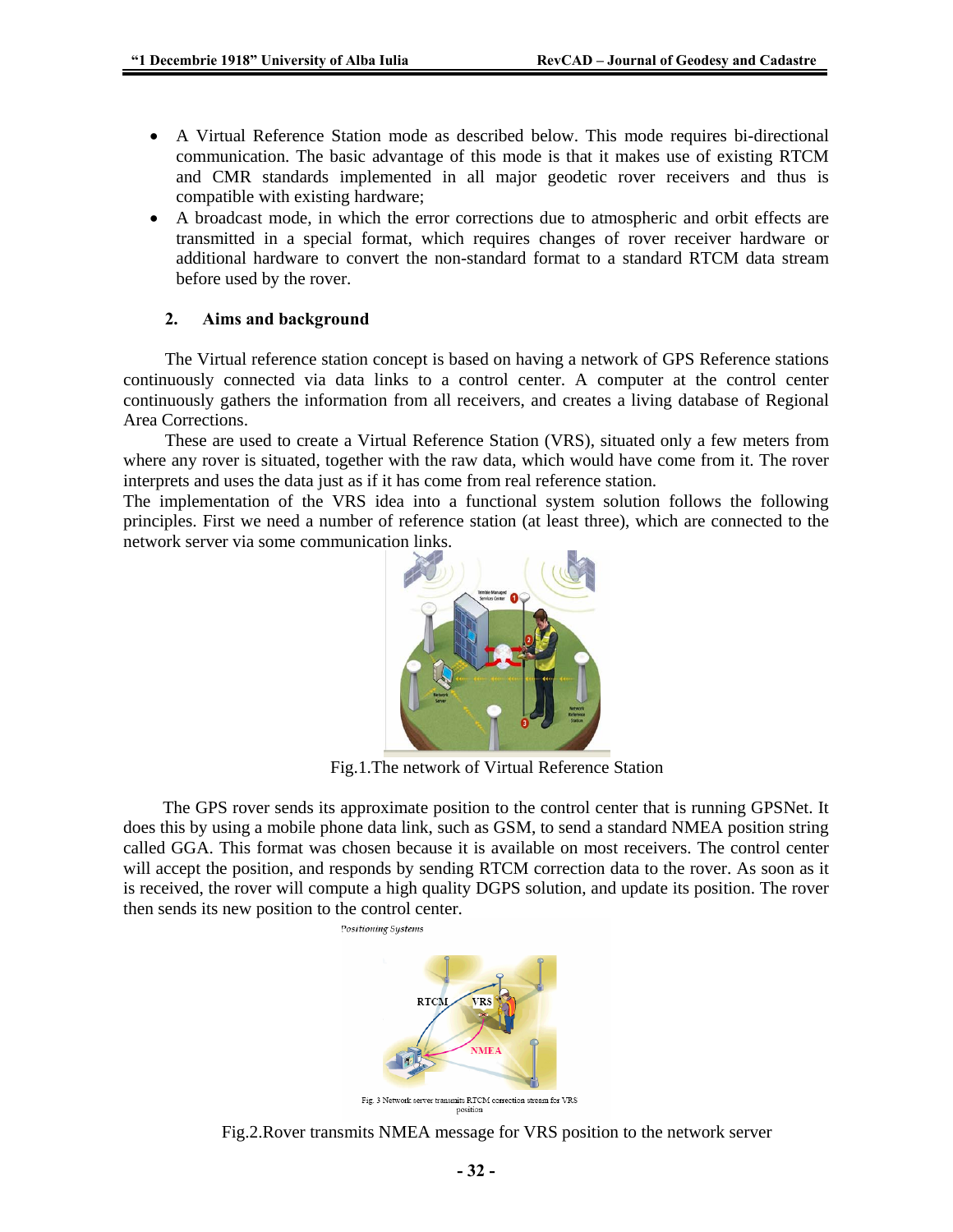- A Virtual Reference Station mode as described below. This mode requires bi-directional communication. The basic advantage of this mode is that it makes use of existing RTCM and CMR standards implemented in all major geodetic rover receivers and thus is compatible with existing hardware;
- A broadcast mode, in which the error corrections due to atmospheric and orbit effects are transmitted in a special format, which requires changes of rover receiver hardware or additional hardware to convert the non-standard format to a standard RTCM data stream before used by the rover.

### **2. Aims and background**

The Virtual reference station concept is based on having a network of GPS Reference stations continuously connected via data links to a control center. A computer at the control center continuously gathers the information from all receivers, and creates a living database of Regional Area Corrections.

These are used to create a Virtual Reference Station (VRS), situated only a few meters from where any rover is situated, together with the raw data, which would have come from it. The rover interprets and uses the data just as if it has come from real reference station.

The implementation of the VRS idea into a functional system solution follows the following principles. First we need a number of reference station (at least three), which are connected to the network server via some communication links.



Fig.1.The network of Virtual Reference Station

The GPS rover sends its approximate position to the control center that is running GPSNet. It does this by using a mobile phone data link, such as GSM, to send a standard NMEA position string called GGA. This format was chosen because it is available on most receivers. The control center will accept the position, and responds by sending RTCM correction data to the rover. As soon as it is received, the rover will compute a high quality DGPS solution, and update its position. The rover then sends its new position to the control center.



Fig.2.Rover transmits NMEA message for VRS position to the network server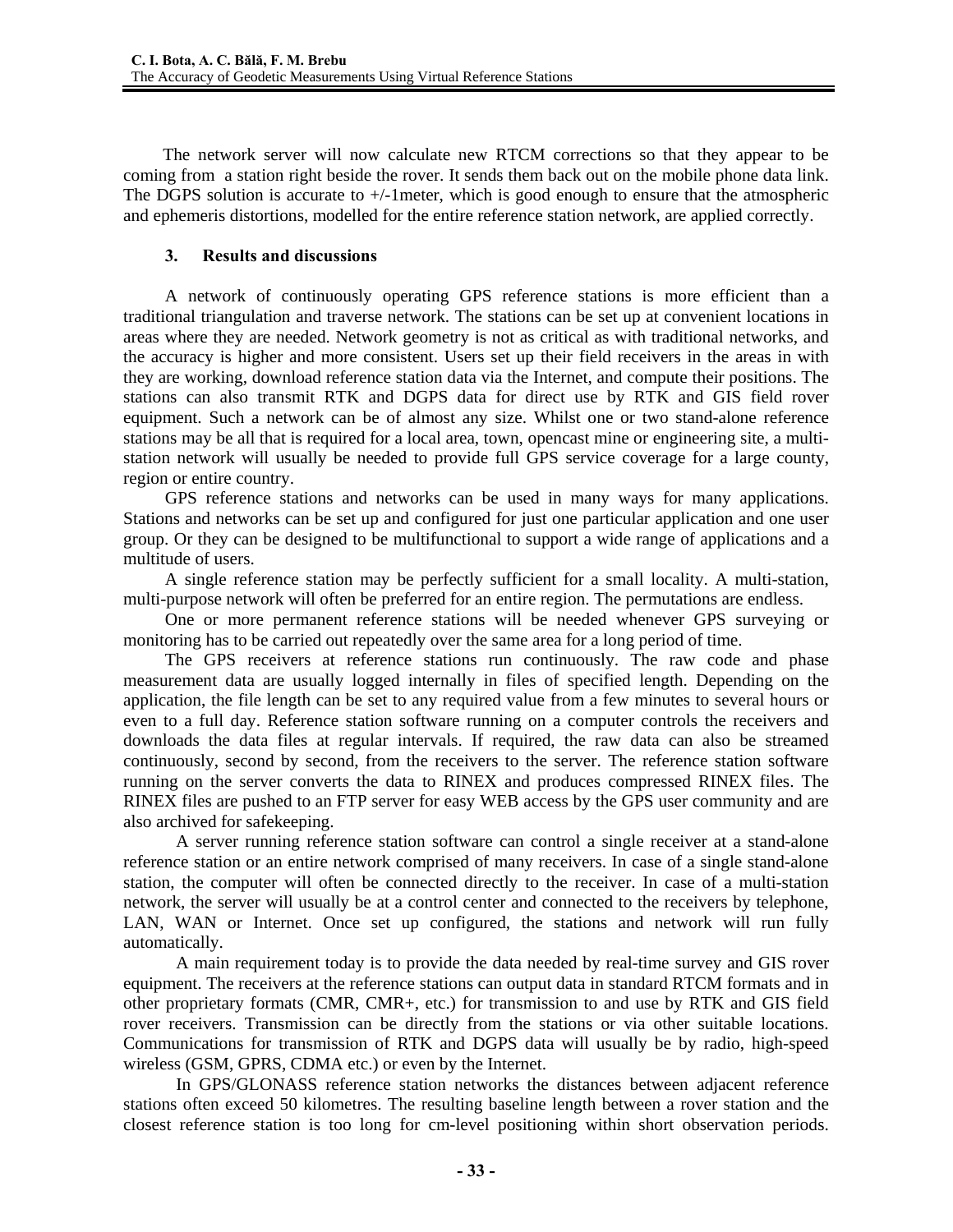The network server will now calculate new RTCM corrections so that they appear to be coming from a station right beside the rover. It sends them back out on the mobile phone data link. The DGPS solution is accurate to  $+/-1$  meter, which is good enough to ensure that the atmospheric and ephemeris distortions, modelled for the entire reference station network, are applied correctly.

### **3. Results and discussions**

A network of continuously operating GPS reference stations is more efficient than a traditional triangulation and traverse network. The stations can be set up at convenient locations in areas where they are needed. Network geometry is not as critical as with traditional networks, and the accuracy is higher and more consistent. Users set up their field receivers in the areas in with they are working, download reference station data via the Internet, and compute their positions. The stations can also transmit RTK and DGPS data for direct use by RTK and GIS field rover equipment. Such a network can be of almost any size. Whilst one or two stand-alone reference stations may be all that is required for a local area, town, opencast mine or engineering site, a multistation network will usually be needed to provide full GPS service coverage for a large county, region or entire country.

GPS reference stations and networks can be used in many ways for many applications. Stations and networks can be set up and configured for just one particular application and one user group. Or they can be designed to be multifunctional to support a wide range of applications and a multitude of users.

A single reference station may be perfectly sufficient for a small locality. A multi-station, multi-purpose network will often be preferred for an entire region. The permutations are endless.

One or more permanent reference stations will be needed whenever GPS surveying or monitoring has to be carried out repeatedly over the same area for a long period of time.

The GPS receivers at reference stations run continuously. The raw code and phase measurement data are usually logged internally in files of specified length. Depending on the application, the file length can be set to any required value from a few minutes to several hours or even to a full day. Reference station software running on a computer controls the receivers and downloads the data files at regular intervals. If required, the raw data can also be streamed continuously, second by second, from the receivers to the server. The reference station software running on the server converts the data to RINEX and produces compressed RINEX files. The RINEX files are pushed to an FTP server for easy WEB access by the GPS user community and are also archived for safekeeping.

 A server running reference station software can control a single receiver at a stand-alone reference station or an entire network comprised of many receivers. In case of a single stand-alone station, the computer will often be connected directly to the receiver. In case of a multi-station network, the server will usually be at a control center and connected to the receivers by telephone, LAN, WAN or Internet. Once set up configured, the stations and network will run fully automatically.

A main requirement today is to provide the data needed by real-time survey and GIS rover equipment. The receivers at the reference stations can output data in standard RTCM formats and in other proprietary formats (CMR, CMR+, etc.) for transmission to and use by RTK and GIS field rover receivers. Transmission can be directly from the stations or via other suitable locations. Communications for transmission of RTK and DGPS data will usually be by radio, high-speed wireless (GSM, GPRS, CDMA etc.) or even by the Internet.

In GPS/GLONASS reference station networks the distances between adjacent reference stations often exceed 50 kilometres. The resulting baseline length between a rover station and the closest reference station is too long for cm-level positioning within short observation periods.